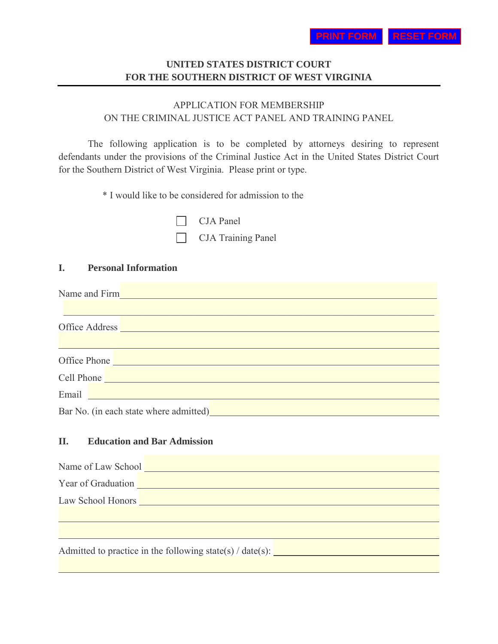# **UNITED STATES DISTRICT COURT FOR THE SOUTHERN DISTRICT OF WEST VIRGINIA**

# APPLICATION FOR MEMBERSHIP ON THE CRIMINAL JUSTICE ACT PANEL AND TRAINING PANEL

The following application is to be completed by attorneys desiring to represent defendants under the provisions of the Criminal Justice Act in the United States District Court for the Southern District of West Virginia. Please print or type.

 $\mathcal{L}_\text{max} = \mathcal{L}_\text{max} = \mathcal{L}_\text{max} = \mathcal{L}_\text{max} = \mathcal{L}_\text{max} = \mathcal{L}_\text{max} = \mathcal{L}_\text{max} = \mathcal{L}_\text{max} = \mathcal{L}_\text{max} = \mathcal{L}_\text{max} = \mathcal{L}_\text{max} = \mathcal{L}_\text{max} = \mathcal{L}_\text{max} = \mathcal{L}_\text{max} = \mathcal{L}_\text{max} = \mathcal{L}_\text{max} = \mathcal{L}_\text{max} = \mathcal{L}_\text{max} = \mathcal{$ 

and the control of the control of the control of the control of the control of the control of the control of the

and the control of the control of the control of the control of the control of the control of the control of the

\* I would like to be considered for admission to the

CJA Panel

CJA Training Panel

# **I. Personal Information**

Name and Firm\_\_\_\_\_\_\_\_\_\_\_\_\_\_\_\_\_\_\_\_\_\_\_\_\_\_\_\_\_\_\_\_\_\_\_\_\_\_\_\_\_\_\_\_\_\_\_\_\_\_\_\_\_\_\_\_\_\_\_\_\_\_\_\_\_

Office Address

| Office Phone |  |
|--------------|--|
|              |  |

Cell Phone

Email **Email Email Email <b>Email Email Email Account 2006** 

 $\overline{a}$ 

Bar No. (in each state where admitted) **Bar** No. (in each state where admitted)

# **II. Education and Bar Admission**

Year of Graduation

Law School Honors **Law School Honors** 

Admitted to practice in the following state(s)  $/$  date(s):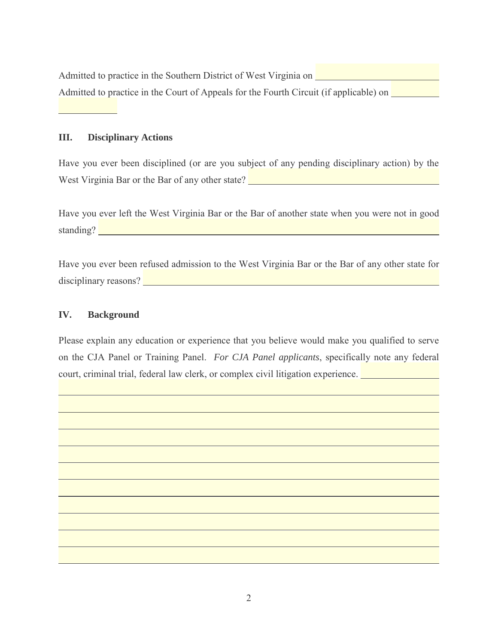Admitted to practice in the Southern District of West Virginia on Admitted to practice in the Court of Appeals for the Fourth Circuit (if applicable) on

#### **III. Disciplinary Actions**

Have you ever been disciplined (or are you subject of any pending disciplinary action) by the West Virginia Bar or the Bar of any other state?

Have you ever left the West Virginia Bar or the Bar of another state when you were not in good standing? The contract of the contract of the contract of the contract of the contract of the contract of the contract of the contract of the contract of the contract of the contract of the contract of the contract of the

Have you ever been refused admission to the West Virginia Bar or the Bar of any other state for disciplinary reasons?

### **IV. Background**

 $\overline{a}$ 

 $\overline{a}$ 

Please explain any education or experience that you believe would make you qualified to serve on the CJA Panel or Training Panel. *For CJA Panel applicants*, specifically note any federal court, criminal trial, federal law clerk, or complex civil litigation experience.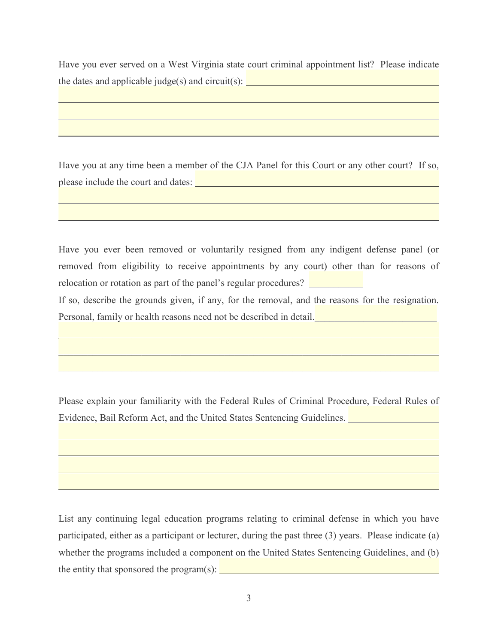Have you ever served on a West Virginia state court criminal appointment list? Please indicate the dates and applicable judge(s) and circuit(s):  $\boxed{\phantom{a}}$ 

Have you at any time been a member of the CJA Panel for this Court or any other court? If so, please include the court and dates:

֦

֦

 $\overline{a}$ 

 $\overline{a}$ 

Have you ever been removed or voluntarily resigned from any indigent defense panel (or removed from eligibility to receive appointments by any court) other than for reasons of relocation or rotation as part of the panel's regular procedures?

If so, describe the grounds given, if any, for the removal, and the reasons for the resignation. Personal, family or health reasons need not be described in detail.

Please explain your familiarity with the Federal Rules of Criminal Procedure, Federal Rules of Evidence, Bail Reform Act, and the United States Sentencing Guidelines.

 $\mathcal{L}_\mathcal{L} = \{ \mathcal{L}_\mathcal{L} = \{ \mathcal{L}_\mathcal{L} = \{ \mathcal{L}_\mathcal{L} = \{ \mathcal{L}_\mathcal{L} = \{ \mathcal{L}_\mathcal{L} = \{ \mathcal{L}_\mathcal{L} = \{ \mathcal{L}_\mathcal{L} = \{ \mathcal{L}_\mathcal{L} = \{ \mathcal{L}_\mathcal{L} = \{ \mathcal{L}_\mathcal{L} = \{ \mathcal{L}_\mathcal{L} = \{ \mathcal{L}_\mathcal{L} = \{ \mathcal{L}_\mathcal{L} = \{ \mathcal{L}_\mathcal{$ 

List any continuing legal education programs relating to criminal defense in which you have participated, either as a participant or lecturer, during the past three (3) years. Please indicate (a) whether the programs included a component on the United States Sentencing Guidelines, and (b) the entity that sponsored the program $(s)$ :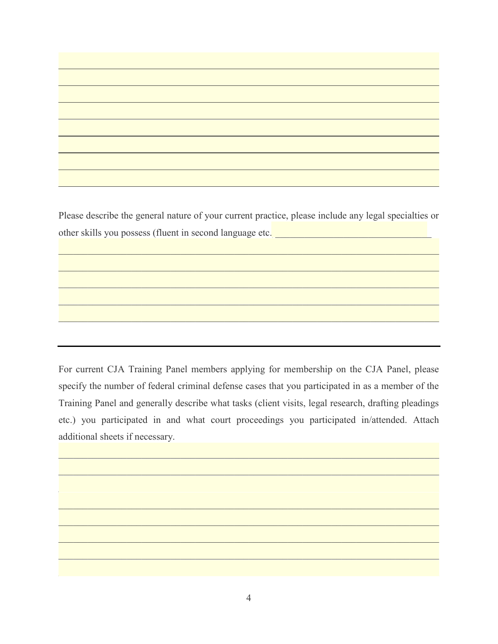Please describe the general nature of your current practice, please include any legal specialties or other skills you possess (fluent in second language etc.)\_\_\_\_\_\_\_\_\_\_\_\_\_\_\_\_\_\_\_\_\_\_\_\_\_\_\_\_\_\_\_\_

 $\mathcal{L}_\mathcal{L} = \{ \mathcal{L}_\mathcal{L} = \{ \mathcal{L}_\mathcal{L} = \{ \mathcal{L}_\mathcal{L} = \{ \mathcal{L}_\mathcal{L} = \{ \mathcal{L}_\mathcal{L} = \{ \mathcal{L}_\mathcal{L} = \{ \mathcal{L}_\mathcal{L} = \{ \mathcal{L}_\mathcal{L} = \{ \mathcal{L}_\mathcal{L} = \{ \mathcal{L}_\mathcal{L} = \{ \mathcal{L}_\mathcal{L} = \{ \mathcal{L}_\mathcal{L} = \{ \mathcal{L}_\mathcal{L} = \{ \mathcal{L}_\mathcal{$ 

 $\mathcal{L}_\text{max}$  , and the contribution of the contribution of the contribution of the contribution of the contribution of the contribution of the contribution of the contribution of the contribution of the contribution of t

 $\mathcal{L}_\mathcal{L} = \mathcal{L}_\mathcal{L} = \mathcal{L}_\mathcal{L} = \mathcal{L}_\mathcal{L} = \mathcal{L}_\mathcal{L} = \mathcal{L}_\mathcal{L} = \mathcal{L}_\mathcal{L} = \mathcal{L}_\mathcal{L} = \mathcal{L}_\mathcal{L} = \mathcal{L}_\mathcal{L} = \mathcal{L}_\mathcal{L} = \mathcal{L}_\mathcal{L} = \mathcal{L}_\mathcal{L} = \mathcal{L}_\mathcal{L} = \mathcal{L}_\mathcal{L} = \mathcal{L}_\mathcal{L} = \mathcal{L}_\mathcal{L}$ 

 $\overline{a}$ 

For current CJA Training Panel members applying for membership on the CJA Panel, please specify the number of federal criminal defense cases that you participated in as a member of the Training Panel and generally describe what tasks (client visits, legal research, drafting pleadings etc.) you participated in and what court proceedings you participated in/attended. Attach additional sheets if necessary.

 $\mathcal{L}_\mathcal{L} = \mathcal{L}_\mathcal{L} = \mathcal{L}_\mathcal{L} = \mathcal{L}_\mathcal{L} = \mathcal{L}_\mathcal{L} = \mathcal{L}_\mathcal{L} = \mathcal{L}_\mathcal{L} = \mathcal{L}_\mathcal{L} = \mathcal{L}_\mathcal{L} = \mathcal{L}_\mathcal{L} = \mathcal{L}_\mathcal{L} = \mathcal{L}_\mathcal{L} = \mathcal{L}_\mathcal{L} = \mathcal{L}_\mathcal{L} = \mathcal{L}_\mathcal{L} = \mathcal{L}_\mathcal{L} = \mathcal{L}_\mathcal{L}$ 

 $\mathcal{L}_\text{G} = \{ \mathcal{L}_\text{G} = \{ \mathcal{L}_\text{G} = \{ \mathcal{L}_\text{G} = \{ \mathcal{L}_\text{G} = \{ \mathcal{L}_\text{G} = \{ \mathcal{L}_\text{G} = \{ \mathcal{L}_\text{G} = \{ \mathcal{L}_\text{G} = \{ \mathcal{L}_\text{G} = \{ \mathcal{L}_\text{G} = \{ \mathcal{L}_\text{G} = \{ \mathcal{L}_\text{G} = \{ \mathcal{L}_\text{G} = \{ \mathcal{L}_\text{G} = \{ \mathcal{L}_\text{G$ 

 $\mathcal{L}_\text{max}$  , and the contribution of the contribution of the contribution of the contribution of the contribution of the contribution of the contribution of the contribution of the contribution of the contribution of t

 $\mathcal{L}_\mathcal{L} = \{ \mathcal{L}_\mathcal{L} = \{ \mathcal{L}_\mathcal{L} = \{ \mathcal{L}_\mathcal{L} = \{ \mathcal{L}_\mathcal{L} = \{ \mathcal{L}_\mathcal{L} = \{ \mathcal{L}_\mathcal{L} = \{ \mathcal{L}_\mathcal{L} = \{ \mathcal{L}_\mathcal{L} = \{ \mathcal{L}_\mathcal{L} = \{ \mathcal{L}_\mathcal{L} = \{ \mathcal{L}_\mathcal{L} = \{ \mathcal{L}_\mathcal{L} = \{ \mathcal{L}_\mathcal{L} = \{ \mathcal{L}_\mathcal{$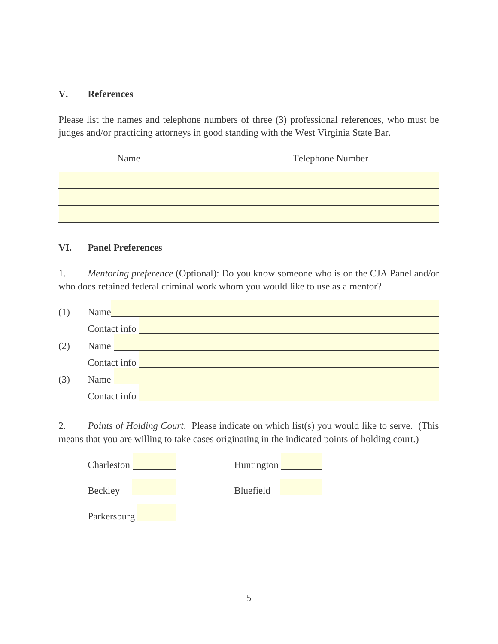## **V. References**

Please list the names and telephone numbers of three (3) professional references, who must be judges and/or practicing attorneys in good standing with the West Virginia State Bar.

| <b>Name</b> | Telephone Number |
|-------------|------------------|
|             |                  |
|             |                  |
|             |                  |

## **VI. Panel Preferences**

1. *Mentoring preference* (Optional): Do you know someone who is on the CJA Panel and/or who does retained federal criminal work whom you would like to use as a mentor?

| (1) | Name                                                                                                                                                                                                                           |  |
|-----|--------------------------------------------------------------------------------------------------------------------------------------------------------------------------------------------------------------------------------|--|
|     | Contact info the contract of the contract of the contract of the contract of the contract of the contract of the contract of the contract of the contract of the contract of the contract of the contract of the contract of t |  |
| (2) | Name Name and the second contract of the second contract of the second contract of the second contract of the second contract of the second contract of the second contract of the second contract of the second contract of t |  |
|     | Contact info                                                                                                                                                                                                                   |  |
| (3) | Name                                                                                                                                                                                                                           |  |
|     | Contact info                                                                                                                                                                                                                   |  |

2. *Points of Holding Court*. Please indicate on which list(s) you would like to serve. (This means that you are willing to take cases originating in the indicated points of holding court.)

| Charleston  | Huntington |
|-------------|------------|
| Beckley     | Bluefield  |
| Parkersburg |            |